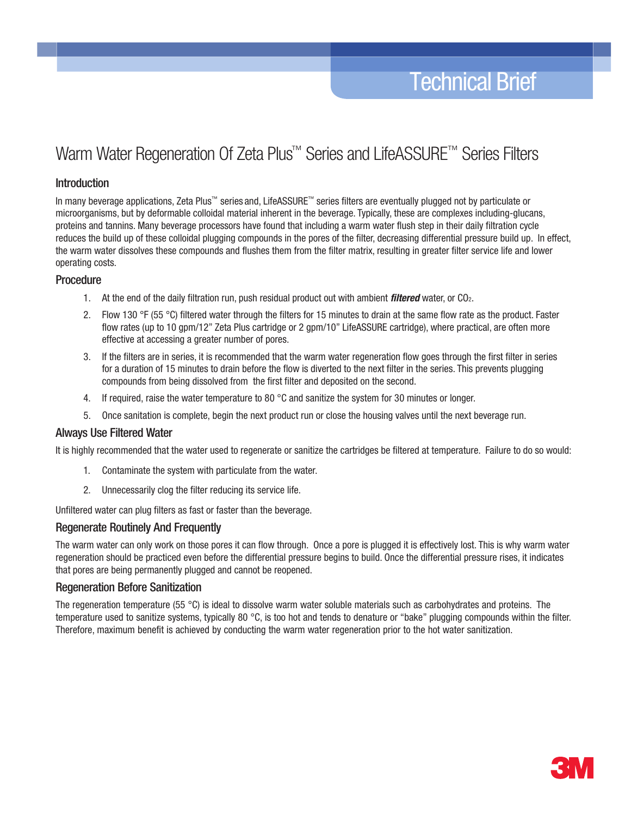# Warm Water Regeneration Of Zeta Plus<sup>™</sup> Series and LifeASSURE<sup>™</sup> Series Filters

## Introduction

In many beverage applications, Zeta Plus™ series and, LifeASSURE™ series filters are eventually plugged not by particulate or microorganisms, but by deformable colloidal material inherent in the beverage. Typically, these are complexes including-glucans, proteins and tannins. Many beverage processors have found that including a warm water flush step in their daily filtration cycle reduces the build up of these colloidal plugging compounds in the pores of the filter, decreasing differential pressure build up. In effect, the warm water dissolves these compounds and flushes them from the filter matrix, resulting in greater filter service life and lower operating costs.

## **Procedure**

- 1. At the end of the daily filtration run, push residual product out with ambient *filtered* water, or CO2.
- 2. Flow 130 °F (55 °C) filtered water through the filters for 15 minutes to drain at the same flow rate as the product. Faster flow rates (up to 10 gpm/12" Zeta Plus cartridge or 2 gpm/10" LifeASSURE cartridge), where practical, are often more effective at accessing a greater number of pores.
- 3. If the filters are in series, it is recommended that the warm water regeneration flow goes through the first filter in series for a duration of 15 minutes to drain before the flow is diverted to the next filter in the series. This prevents plugging compounds from being dissolved from the first filter and deposited on the second.
- 4. If required, raise the water temperature to 80 °C and sanitize the system for 30 minutes or longer.
- 5. Once sanitation is complete, begin the next product run or close the housing valves until the next beverage run.

### Always Use Filtered Water

It is highly recommended that the water used to regenerate or sanitize the cartridges be filtered at temperature. Failure to do so would:

- Contaminate the system with particulate from the water.
- 2. Unnecessarily clog the filter reducing its service life.

Unfiltered water can plug filters as fast or faster than the beverage.

### Regenerate Routinely And Frequently

The warm water can only work on those pores it can flow through. Once a pore is plugged it is effectively lost. This is why warm water regeneration should be practiced even before the differential pressure begins to build. Once the differential pressure rises, it indicates that pores are being permanently plugged and cannot be reopened.

### Regeneration Before Sanitization

The regeneration temperature (55 °C) is ideal to dissolve warm water soluble materials such as carbohydrates and proteins. The temperature used to sanitize systems, typically 80 °C, is too hot and tends to denature or "bake" plugging compounds within the filter. Therefore, maximum benefit is achieved by conducting the warm water regeneration prior to the hot water sanitization.